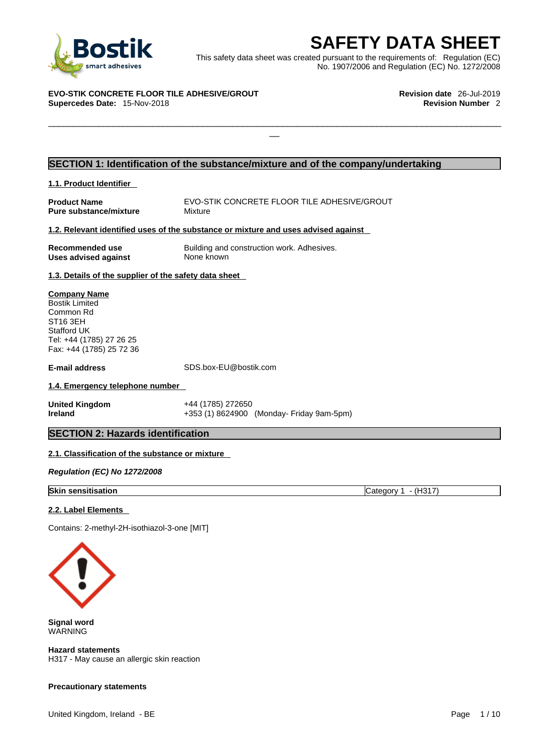

**SAFETY DATA SHEET**<br>
et was created pursuant to the requirements of: Regulation (EC)<br>
No. 1907/2006 and Regulation (EC) No. 1272/2008<br>
Revision date 26-Jul-2019<br>
Revision Number 2 This safety data sheet was created pursuant to the requirements of: Regulation (EC) No. 1907/2006 and Regulation (EC) No. 1272/2008

 $\Box$ 

#### **EVO-STIK CONCRETE FLOOR TILE ADHESIVE/GROUT Revision date** 26-Jul-2019 **Supercedes Date: 15-Nov-2018**

### **SECTION 1: Identification of the substance/mixture and of the company/undertaking**

### **1.1. Product Identifier**

**Pure substance/mixture** 

**Product Name**<br> **Pure substance/mixture Mixture** Mixture 

Mixture **Mixture** 

### **1.2. Relevant identified uses of the substance or mixture and uses advised against**

**Uses advised against** None known

**Recommended use** Building and construction work. Adhesives.

### **1.3. Details of the supplier of the safety data sheet**

**Company Name** Bostik Limited Common Rd ST16 3EH Stafford UK Tel: +44 (1785) 27 26 25 Fax: +44 (1785) 25 72 36

**E-mail address** SDS.box-EU@bostik.com

### **1.4. Emergency telephone number**

**United Kingdom** +44 (1785) 272650

**Ireland** +353 (1) 8624900 (Monday- Friday 9am-5pm)

### **SECTION 2: Hazards identification**

### **2.1. Classification of the substance or mixture**

*Regulation (EC) No 1272/2008* 

### **Skin sensitisation** Category 1 - (H317)

### **2.2. Label Elements**

Contains: 2-methyl-2H-isothiazol-3-one [MIT]



**Signal word** WARNING

**Hazard statements** H317 - May cause an allergic skin reaction

### **Precautionary statements**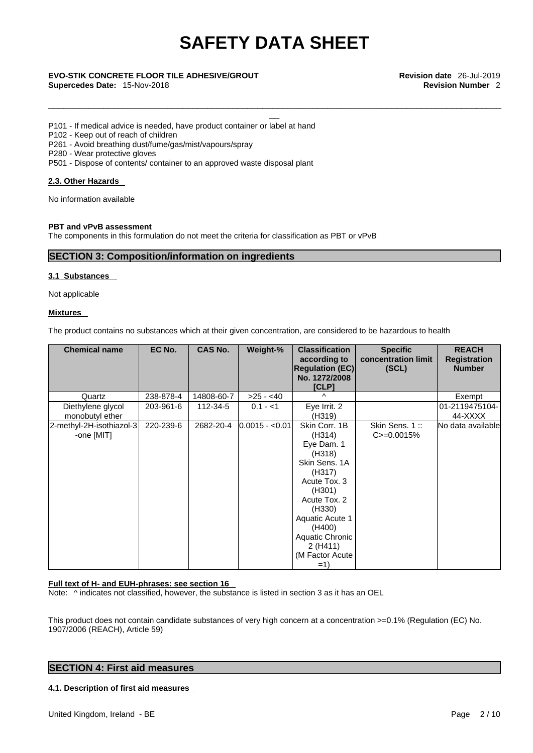\_\_\_\_\_\_\_\_\_\_\_\_\_\_\_\_\_\_\_\_\_\_\_\_\_\_\_\_\_\_\_\_\_\_\_\_\_\_\_\_\_\_\_\_\_\_\_\_\_\_\_\_\_\_\_\_\_\_\_\_\_\_\_\_\_\_\_\_\_\_\_\_\_\_\_\_\_\_\_\_\_\_\_\_\_\_\_\_\_\_\_

# \_\_ **EVO-STIK CONCRETE FLOOR TILE ADHESIVE/GROUT Revision date** 26-Jul-2019

**Supercedes Date:** 15-Nov-2018 **Revision Number** 2

P101 - If medical advice is needed, have product container or label at hand

P102 - Keep out of reach of children

P261 - Avoid breathing dust/fume/gas/mist/vapours/spray

P280 - Wear protective gloves

P501 - Dispose of contents/ container to an approved waste disposal plant

### **2.3. Other Hazards**

No information available

### **PBT and vPvB assessment**

The components in this formulation do not meet the criteria for classification as PBT or vPvB

### **SECTION 3: Composition/information on ingredients**

### **3.1 Substances**

Not applicable

### **Mixtures**

The product contains no substances which at their given concentration, are considered to be hazardous to health

| <b>Chemical name</b>                   | EC No.    | <b>CAS No.</b> | Weight-%        | <b>Classification</b><br>according to<br><b>Regulation (EC)</b><br>No. 1272/2008<br>[CLP]                                                                                                                                      | <b>Specific</b><br>concentration limit<br>(SCL) | <b>REACH</b><br><b>Registration</b><br><b>Number</b> |
|----------------------------------------|-----------|----------------|-----------------|--------------------------------------------------------------------------------------------------------------------------------------------------------------------------------------------------------------------------------|-------------------------------------------------|------------------------------------------------------|
| Quartz                                 | 238-878-4 | 14808-60-7     | $>25 - 40$      | Λ                                                                                                                                                                                                                              |                                                 | Exempt                                               |
| Diethylene glycol<br>monobutyl ether   | 203-961-6 | 112-34-5       | $0.1 - 1$       | Eye Irrit. 2<br>(H319)                                                                                                                                                                                                         |                                                 | 01-2119475104-<br>44-XXXX                            |
| 2-methyl-2H-isothiazol-3<br>-one [MIT] | 220-239-6 | 2682-20-4      | $0.0015 - 0.01$ | Skin Corr. 1B<br>(H314)<br>Eye Dam. 1<br>(H318)<br>Skin Sens. 1A<br>(H317)<br>Acute Tox. 3<br>(H301)<br>Acute Tox. 2<br>(H330)<br><b>Aquatic Acute 1</b><br>(H400)<br>Aquatic Chronic<br>2 (H411)<br>(M Factor Acute)<br>$=1)$ | Skin Sens. 1::<br>$C = 0.0015%$                 | No data available                                    |

### **Full text of H- and EUH-phrases: see section 16**

Note:  $\wedge$  indicates not classified, however, the substance is listed in section 3 as it has an OEL

This product does not contain candidate substances of very high concern at a concentration >=0.1% (Regulation (EC) No. 1907/2006 (REACH), Article 59)

### **SECTION 4: First aid measures**

### **4.1. Description of first aid measures**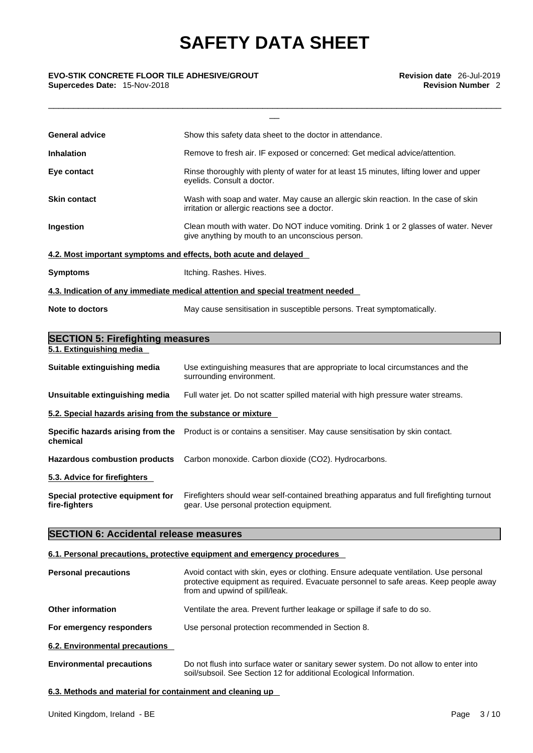\_\_\_\_\_\_\_\_\_\_\_\_\_\_\_\_\_\_\_\_\_\_\_\_\_\_\_\_\_\_\_\_\_\_\_\_\_\_\_\_\_\_\_\_\_\_\_\_\_\_\_\_\_\_\_\_\_\_\_\_\_\_\_\_\_\_\_\_\_\_\_\_\_\_\_\_\_\_\_\_\_\_\_\_\_\_\_\_\_\_\_

# \_\_ **EVO-STIK CONCRETE FLOOR TILE ADHESIVE/GROUT Revision date** 26-Jul-2019

**Supercedes Date:** 15-Nov-2018 **Revision Number** 2

| <b>General advice</b>                                            | Show this safety data sheet to the doctor in attendance.                                                                                 |  |  |
|------------------------------------------------------------------|------------------------------------------------------------------------------------------------------------------------------------------|--|--|
| <b>Inhalation</b>                                                | Remove to fresh air. IF exposed or concerned: Get medical advice/attention.                                                              |  |  |
| Eye contact                                                      | Rinse thoroughly with plenty of water for at least 15 minutes, lifting lower and upper<br>eyelids. Consult a doctor.                     |  |  |
| <b>Skin contact</b>                                              | Wash with soap and water. May cause an allergic skin reaction. In the case of skin<br>irritation or allergic reactions see a doctor.     |  |  |
| Ingestion                                                        | Clean mouth with water. Do NOT induce vomiting. Drink 1 or 2 glasses of water. Never<br>give anything by mouth to an unconscious person. |  |  |
| 4.2. Most important symptoms and effects, both acute and delayed |                                                                                                                                          |  |  |
| <b>Symptoms</b>                                                  | Itching. Rashes. Hives.                                                                                                                  |  |  |
|                                                                  | 4.3. Indication of any immediate medical attention and special treatment needed                                                          |  |  |
| Note to doctors                                                  | May cause sensitisation in susceptible persons. Treat symptomatically.                                                                   |  |  |
| <b>SECTION 5: Firefighting measures</b>                          |                                                                                                                                          |  |  |
| 5.1. Extinguishing media                                         |                                                                                                                                          |  |  |
| Suitable extinguishing media                                     | Use extinguishing measures that are appropriate to local circumstances and the<br>surrounding environment.                               |  |  |
| Unsuitable extinguishing media                                   | Full water jet. Do not scatter spilled material with high pressure water streams.                                                        |  |  |
| 5.2. Special hazards arising from the substance or mixture       |                                                                                                                                          |  |  |
| chemical                                                         | Specific hazards arising from the Product is or contains a sensitiser. May cause sensitisation by skin contact.                          |  |  |
| <b>Hazardous combustion products</b>                             | Carbon monoxide. Carbon dioxide (CO2). Hydrocarbons.                                                                                     |  |  |
| 5.3. Advice for firefighters                                     |                                                                                                                                          |  |  |
| Special protective equipment for<br>fire-fighters                | Firefighters should wear self-contained breathing apparatus and full firefighting turnout<br>gear. Use personal protection equipment.    |  |  |
| <b>SECTION 6: Accidental release measures</b>                    |                                                                                                                                          |  |  |
|                                                                  |                                                                                                                                          |  |  |

### **6.1. Personal precautions, protective equipment and emergency procedures**

| <b>Personal precautions</b>      | Avoid contact with skin, eyes or clothing. Ensure adequate ventilation. Use personal<br>protective equipment as required. Evacuate personnel to safe areas. Keep people away<br>from and upwind of spill/leak. |  |
|----------------------------------|----------------------------------------------------------------------------------------------------------------------------------------------------------------------------------------------------------------|--|
| <b>Other information</b>         | Ventilate the area. Prevent further leakage or spillage if safe to do so.                                                                                                                                      |  |
| For emergency responders         | Use personal protection recommended in Section 8.                                                                                                                                                              |  |
| 6.2. Environmental precautions   |                                                                                                                                                                                                                |  |
| <b>Environmental precautions</b> | Do not flush into surface water or sanitary sewer system. Do not allow to enter into<br>soil/subsoil. See Section 12 for additional Ecological Information.                                                    |  |

### **6.3. Methods and material for containment and cleaning up**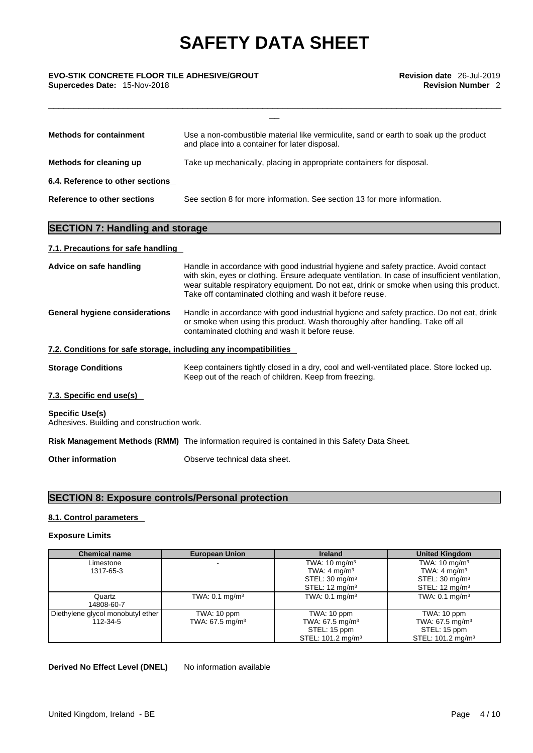\_\_\_\_\_\_\_\_\_\_\_\_\_\_\_\_\_\_\_\_\_\_\_\_\_\_\_\_\_\_\_\_\_\_\_\_\_\_\_\_\_\_\_\_\_\_\_\_\_\_\_\_\_\_\_\_\_\_\_\_\_\_\_\_\_\_\_\_\_\_\_\_\_\_\_\_\_\_\_\_\_\_\_\_\_\_\_\_\_\_\_

## \_\_ **EVO-STIK CONCRETE FLOOR TILE ADHESIVE/GROUT Revision date** 26-Jul-2019 **Supercedes Date:** 15-Nov-2018 **Revision Number** 2

| <b>Methods for containment</b>   | Use a non-combustible material like vermiculite, sand or earth to soak up the product<br>and place into a container for later disposal. |
|----------------------------------|-----------------------------------------------------------------------------------------------------------------------------------------|
| Methods for cleaning up          | Take up mechanically, placing in appropriate containers for disposal.                                                                   |
| 6.4. Reference to other sections |                                                                                                                                         |
| Reference to other sections      | See section 8 for more information. See section 13 for more information.                                                                |

### **SECTION 7: Handling and storage**

### **7.1. Precautions for safe handling**

| Advice on safe handling                                              | Handle in accordance with good industrial hygiene and safety practice. Avoid contact<br>with skin, eyes or clothing. Ensure adequate ventilation. In case of insufficient ventilation,<br>wear suitable respiratory equipment. Do not eat, drink or smoke when using this product.<br>Take off contaminated clothing and wash it before reuse. |  |
|----------------------------------------------------------------------|------------------------------------------------------------------------------------------------------------------------------------------------------------------------------------------------------------------------------------------------------------------------------------------------------------------------------------------------|--|
| General hygiene considerations                                       | Handle in accordance with good industrial hygiene and safety practice. Do not eat, drink<br>or smoke when using this product. Wash thoroughly after handling. Take off all<br>contaminated clothing and wash it before reuse.                                                                                                                  |  |
| 7.2. Conditions for safe storage, including any incompatibilities    |                                                                                                                                                                                                                                                                                                                                                |  |
| <b>Storage Conditions</b>                                            | Keep containers tightly closed in a dry, cool and well-ventilated place. Store locked up.<br>Keep out of the reach of children. Keep from freezing.                                                                                                                                                                                            |  |
| 7.3. Specific end use(s)                                             |                                                                                                                                                                                                                                                                                                                                                |  |
| <b>Specific Use(s)</b><br>Adhesives. Building and construction work. |                                                                                                                                                                                                                                                                                                                                                |  |
|                                                                      | Risk Management Methods (RMM) The information required is contained in this Safety Data Sheet.                                                                                                                                                                                                                                                 |  |
| Other information                                                    | Observe technical data sheet.                                                                                                                                                                                                                                                                                                                  |  |

### **SECTION 8: Exposure controls/Personal protection**

### **8.1. Control parameters**

### **Exposure Limits**

| <b>Chemical name</b>              | <b>European Union</b>      | <b>Ireland</b>                | <b>United Kingdom</b>         |
|-----------------------------------|----------------------------|-------------------------------|-------------------------------|
| Limestone                         |                            | TWA: $10 \text{ mg/m}^3$      | TWA: $10 \text{ mg/m}^3$      |
| 1317-65-3                         |                            | TWA: $4 \text{ mg/m}^3$       | TWA: 4 mg/m <sup>3</sup>      |
|                                   |                            | STEL: $30 \text{ mg/m}^3$     | STEL: $30 \text{ mg/m}^3$     |
|                                   |                            | STEL: $12 \text{ mg/m}^3$     | STEL: $12 \text{ mg/m}^3$     |
| Quartz                            | TWA: $0.1 \text{ mg/m}^3$  | TWA: $0.1$ mg/m <sup>3</sup>  | TWA: $0.1$ mg/m <sup>3</sup>  |
| 14808-60-7                        |                            |                               |                               |
| Diethylene glycol monobutyl ether | TWA: 10 ppm                | TWA: 10 ppm                   | TWA: 10 ppm                   |
| 112-34-5                          | TWA: $67.5 \text{ mg/m}^3$ | TWA: $67.5 \text{ mg/m}^3$    | TWA: 67.5 mg/m <sup>3</sup>   |
|                                   |                            | STEL: 15 ppm                  | STEL: 15 ppm                  |
|                                   |                            | STEL: 101.2 mg/m <sup>3</sup> | STEL: 101.2 mg/m <sup>3</sup> |

**Derived No Effect Level (DNEL)** No information available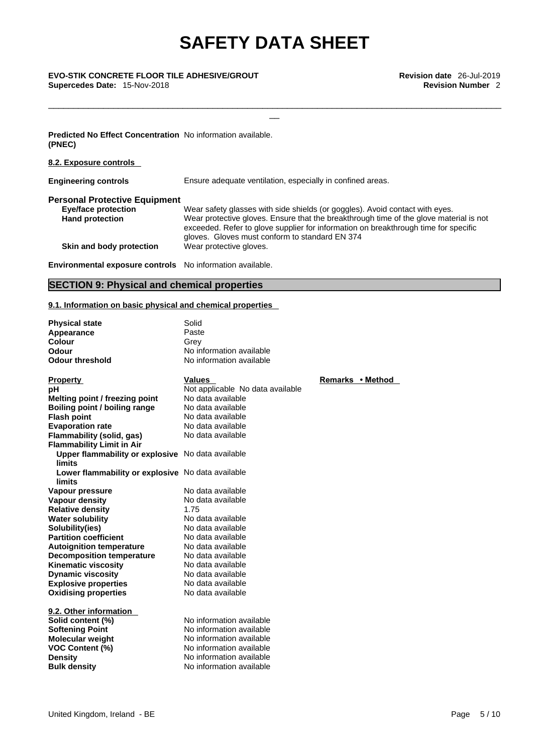\_\_\_\_\_\_\_\_\_\_\_\_\_\_\_\_\_\_\_\_\_\_\_\_\_\_\_\_\_\_\_\_\_\_\_\_\_\_\_\_\_\_\_\_\_\_\_\_\_\_\_\_\_\_\_\_\_\_\_\_\_\_\_\_\_\_\_\_\_\_\_\_\_\_\_\_\_\_\_\_\_\_\_\_\_\_\_\_\_\_\_

## \_\_ **EVO-STIK CONCRETE FLOOR TILE ADHESIVE/GROUT Revision date** 26-Jul-2019 **Supercedes Date:** 15-Nov-2018 **Revision Number** 2

### **Predicted No Effect Concentration** No information available. **(PNEC)**

### **8.2. Exposure controls**

| <b>Engineering controls</b>          | Ensure adequate ventilation, especially in confined areas.                                                                                                                                                                      |  |  |
|--------------------------------------|---------------------------------------------------------------------------------------------------------------------------------------------------------------------------------------------------------------------------------|--|--|
| <b>Personal Protective Equipment</b> |                                                                                                                                                                                                                                 |  |  |
| <b>Eye/face protection</b>           | Wear safety glasses with side shields (or goggles). Avoid contact with eyes.                                                                                                                                                    |  |  |
| <b>Hand protection</b>               | Wear protective gloves. Ensure that the breakthrough time of the glove material is not<br>exceeded. Refer to glove supplier for information on breakthrough time for specific<br>gloves. Gloves must conform to standard EN 374 |  |  |
| Skin and body protection             | Wear protective gloves.                                                                                                                                                                                                         |  |  |
|                                      |                                                                                                                                                                                                                                 |  |  |

### **Environmental exposure controls** No information available.

### **SECTION 9: Physical and chemical properties**

### **9.1. Information on basic physical and chemical properties**

| <b>Physical state</b><br>Appearance<br><b>Colour</b><br>Odour<br><b>Odour threshold</b> | Solid<br>Paste<br>Grev<br>No information available<br>No information available |        |
|-----------------------------------------------------------------------------------------|--------------------------------------------------------------------------------|--------|
| <b>Property</b>                                                                         | <b>Values</b>                                                                  | Remarl |
| рH                                                                                      | Not applicable No data available                                               |        |
| Melting point / freezing point                                                          | No data available                                                              |        |
| Boiling point / boiling range                                                           | No data available                                                              |        |
| <b>Flash point</b>                                                                      | No data available                                                              |        |
| <b>Evaporation rate</b>                                                                 | No data available                                                              |        |
| Flammability (solid, gas)                                                               | No data available                                                              |        |
| <b>Flammability Limit in Air</b>                                                        |                                                                                |        |
| Upper flammability or explosive No data available                                       |                                                                                |        |
| limits                                                                                  |                                                                                |        |
| Lower flammability or explosive No data available                                       |                                                                                |        |
| limits                                                                                  |                                                                                |        |
| Vapour pressure                                                                         | No data available                                                              |        |
| <b>Vapour density</b>                                                                   | No data available                                                              |        |
| <b>Relative density</b>                                                                 | 1.75                                                                           |        |
| <b>Water solubility</b>                                                                 | No data available                                                              |        |
| Solubility(ies)                                                                         | No data available                                                              |        |
| <b>Partition coefficient</b>                                                            | No data available                                                              |        |
| <b>Autoignition temperature</b>                                                         | No data available                                                              |        |
| <b>Decomposition temperature</b>                                                        | No data available                                                              |        |
| <b>Kinematic viscosity</b>                                                              | No data available                                                              |        |
| <b>Dynamic viscosity</b>                                                                | No data available                                                              |        |
| <b>Explosive properties</b>                                                             | No data available                                                              |        |
| <b>Oxidising properties</b>                                                             | No data available                                                              |        |
| 9.2. Other information                                                                  |                                                                                |        |
| Solid content (%)                                                                       | No information available                                                       |        |
| <b>Softening Point</b>                                                                  | No information available                                                       |        |
| <b>Molecular weight</b>                                                                 | No information available                                                       |        |
| <b>VOC Content (%)</b>                                                                  | No information available                                                       |        |
| <b>Density</b>                                                                          | No information available                                                       |        |
| <b>Bulk density</b>                                                                     | No information available                                                       |        |
|                                                                                         |                                                                                |        |

**Property Values Remarks • Method**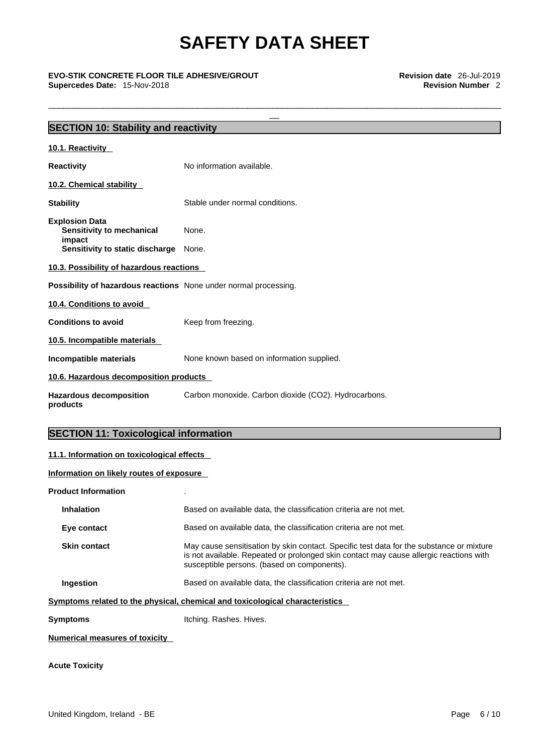\_\_\_\_\_\_\_\_\_\_\_\_\_\_\_\_\_\_\_\_\_\_\_\_\_\_\_\_\_\_\_\_\_\_\_\_\_\_\_\_\_\_\_\_\_\_\_\_\_\_\_\_\_\_\_\_\_\_\_\_\_\_\_\_\_\_\_\_\_\_\_\_\_\_\_\_\_\_\_\_\_\_\_\_\_\_\_\_\_\_\_

\_\_ **EVO-STIK CONCRETE FLOOR TILE ADHESIVE/GROUT Revision date** 26-Jul-2019 **Supercedes Date:** 15-Nov-2018 **Revision Number** 2

| <b>SECTION 10: Stability and reactivity</b>                             |                                                      |  |  |  |
|-------------------------------------------------------------------------|------------------------------------------------------|--|--|--|
|                                                                         |                                                      |  |  |  |
| 10.1. Reactivity                                                        |                                                      |  |  |  |
| <b>Reactivity</b>                                                       | No information available.                            |  |  |  |
| 10.2. Chemical stability                                                |                                                      |  |  |  |
| <b>Stability</b>                                                        | Stable under normal conditions.                      |  |  |  |
| <b>Explosion Data</b><br>Sensitivity to mechanical<br>impact            | None.                                                |  |  |  |
| Sensitivity to static discharge                                         | None.                                                |  |  |  |
| 10.3. Possibility of hazardous reactions                                |                                                      |  |  |  |
| <b>Possibility of hazardous reactions</b> None under normal processing. |                                                      |  |  |  |
| 10.4. Conditions to avoid                                               |                                                      |  |  |  |
| <b>Conditions to avoid</b>                                              | Keep from freezing.                                  |  |  |  |
| 10.5. Incompatible materials                                            |                                                      |  |  |  |
| Incompatible materials                                                  | None known based on information supplied.            |  |  |  |
| 10.6. Hazardous decomposition products                                  |                                                      |  |  |  |
| <b>Hazardous decomposition</b><br>products                              | Carbon monoxide. Carbon dioxide (CO2). Hydrocarbons. |  |  |  |
|                                                                         |                                                      |  |  |  |

### **SECTION 11: Toxicological information**

### **11.1. Information on toxicological effects**

**Information on likely routes of exposure**

| <b>Product Information</b>                                                                                                                                                                                                                               |
|----------------------------------------------------------------------------------------------------------------------------------------------------------------------------------------------------------------------------------------------------------|
| <b>Inhalation</b><br>Based on available data, the classification criteria are not met.                                                                                                                                                                   |
| Based on available data, the classification criteria are not met.<br>Eye contact                                                                                                                                                                         |
| May cause sensitisation by skin contact. Specific test data for the substance or mixture<br><b>Skin contact</b><br>is not available. Repeated or prolonged skin contact may cause allergic reactions with<br>susceptible persons. (based on components). |
| Based on available data, the classification criteria are not met.<br>Ingestion                                                                                                                                                                           |
| Symptoms related to the physical, chemical and toxicological characteristics                                                                                                                                                                             |
| Itching. Rashes. Hives.<br><b>Symptoms</b>                                                                                                                                                                                                               |
| <b>Numerical measures of toxicity</b>                                                                                                                                                                                                                    |

**Acute Toxicity**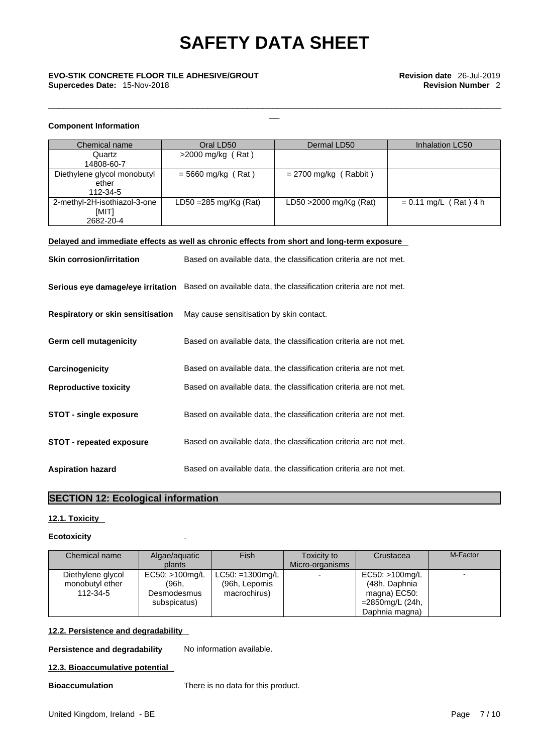\_\_\_\_\_\_\_\_\_\_\_\_\_\_\_\_\_\_\_\_\_\_\_\_\_\_\_\_\_\_\_\_\_\_\_\_\_\_\_\_\_\_\_\_\_\_\_\_\_\_\_\_\_\_\_\_\_\_\_\_\_\_\_\_\_\_\_\_\_\_\_\_\_\_\_\_\_\_\_\_\_\_\_\_\_\_\_\_\_\_\_

## \_\_ **EVO-STIK CONCRETE FLOOR TILE ADHESIVE/GROUT Revision date** 26-Jul-2019 **Supercedes Date:** 15-Nov-2018 **Revision Number** 2

### **Component Information**

| Chemical name                                      | Oral LD50                        | Dermal LD50             | Inhalation LC50         |
|----------------------------------------------------|----------------------------------|-------------------------|-------------------------|
| Quartz<br>14808-60-7                               | >2000 mg/kg (Rat)                |                         |                         |
| Diethylene glycol monobutyl<br>ether<br>112-34-5   | $= 5660$ mg/kg (Rat)             | $= 2700$ mg/kg (Rabbit) |                         |
| 2-methyl-2H-isothiazol-3-one<br>[MIT]<br>2682-20-4 | LD50 = $285 \text{ mg/Kg}$ (Rat) | LD50 > 2000 mg/Kg (Rat) | $= 0.11$ mg/L (Rat) 4 h |

### **Delayed and immediate effects as well as chronic effects from short and long-term exposure**

| <b>Skin corrosion/irritation</b>         | Based on available data, the classification criteria are not met.                                   |
|------------------------------------------|-----------------------------------------------------------------------------------------------------|
|                                          | Serious eye damage/eye irritation Based on available data, the classification criteria are not met. |
| <b>Respiratory or skin sensitisation</b> | May cause sensitisation by skin contact.                                                            |
| Germ cell mutagenicity                   | Based on available data, the classification criteria are not met.                                   |
| Carcinogenicity                          | Based on available data, the classification criteria are not met.                                   |
| <b>Reproductive toxicity</b>             | Based on available data, the classification criteria are not met.                                   |
| <b>STOT - single exposure</b>            | Based on available data, the classification criteria are not met.                                   |
| STOT - repeated exposure                 | Based on available data, the classification criteria are not met.                                   |
| <b>Aspiration hazard</b>                 | Based on available data, the classification criteria are not met.                                   |

### **SECTION 12: Ecological information**

### **12.1. Toxicity**

### **Ecotoxicity** .

| Chemical name                                    | Algae/aguatic<br>plants                                | Fish                                                 | Toxicity to<br>Micro-organisms | Crustacea                                                                                | M-Factor |
|--------------------------------------------------|--------------------------------------------------------|------------------------------------------------------|--------------------------------|------------------------------------------------------------------------------------------|----------|
| Diethylene glycol<br>monobutyl ether<br>112-34-5 | EC50: >100mg/L<br>(96h.<br>Desmodesmus<br>subspicatus) | $LC50: = 1300$ mg/L<br>(96h, Lepomis<br>macrochirus) |                                | EC50: >100mg/L<br>(48h, Daphnia<br>magna) EC50:<br>$=$ 2850 mg/L (24h,<br>Daphnia magna) |          |

### **12.2. Persistence and degradability**

**Persistence and degradability** No information available.

#### **12.3. Bioaccumulative potential**

**Bioaccumulation** There is no data for this product.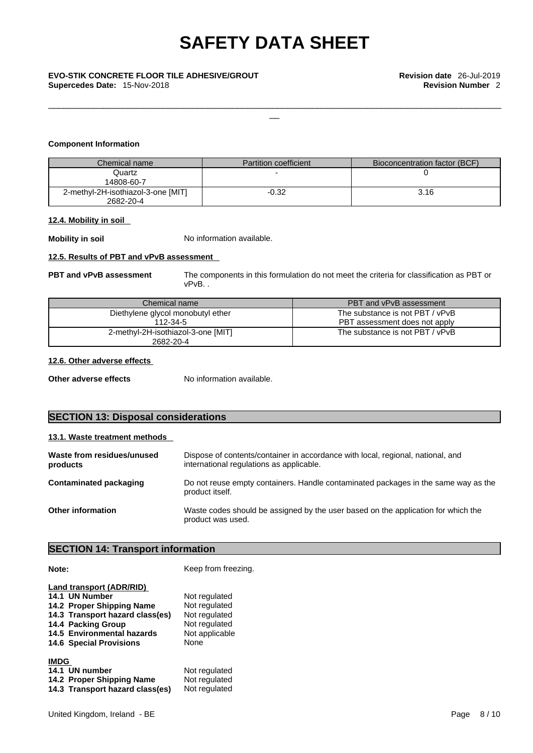\_\_\_\_\_\_\_\_\_\_\_\_\_\_\_\_\_\_\_\_\_\_\_\_\_\_\_\_\_\_\_\_\_\_\_\_\_\_\_\_\_\_\_\_\_\_\_\_\_\_\_\_\_\_\_\_\_\_\_\_\_\_\_\_\_\_\_\_\_\_\_\_\_\_\_\_\_\_\_\_\_\_\_\_\_\_\_\_\_\_\_

**Supercedes Date:** 15-Nov-2018 **Revision Number** 2

### **Component Information**

| Chemical name                                   | <b>Partition coefficient</b> | Bioconcentration factor (BCF) |
|-------------------------------------------------|------------------------------|-------------------------------|
| Quartz<br>14808-60-7                            |                              |                               |
| 2-methyl-2H-isothiazol-3-one [MIT]<br>2682-20-4 | $-0.32$                      | 3.16                          |

### **12.4. Mobility in soil**

**Mobility in soil** No information available.

### **12.5. Results of PBT and vPvB assessment**

**PBT and vPvB assessment** The components in this formulation do not meet the criteria for classification as PBT or vPvB. .

| Chemical name                      | PBT and vPvB assessment         |
|------------------------------------|---------------------------------|
| Diethylene glycol monobutyl ether  | The substance is not PBT / vPvB |
| 112-34-5                           | PBT assessment does not apply   |
| 2-methyl-2H-isothiazol-3-one [MIT] | The substance is not PBT / vPvB |
| 2682-20-4                          |                                 |

### **12.6. Other adverse effects**

**Other adverse effects** No information available.

### **SECTION 13: Disposal considerations**

| 13.1. Waste treatment methods          |                                                                                                                             |
|----------------------------------------|-----------------------------------------------------------------------------------------------------------------------------|
| Waste from residues/unused<br>products | Dispose of contents/container in accordance with local, regional, national, and<br>international regulations as applicable. |
| Contaminated packaging                 | Do not reuse empty containers. Handle contaminated packages in the same way as the<br>product itself.                       |
| <b>Other information</b>               | Waste codes should be assigned by the user based on the application for which the<br>product was used.                      |

### **SECTION 14: Transport information**

**Note: Keep from freezing.** 

| Land transport (ADR/RID)<br>14.1 UN Number<br>14.2 Proper Shipping Name<br>14.3 Transport hazard class(es)<br>14.4 Packing Group<br>14.5 Environmental hazards<br><b>14.6 Special Provisions</b> | Not regulated<br>Not regulated<br>Not regulated<br>Not regulated<br>Not applicable<br><b>None</b> |
|--------------------------------------------------------------------------------------------------------------------------------------------------------------------------------------------------|---------------------------------------------------------------------------------------------------|
| <b>IMDG</b><br>14.1 UN number<br>14.2 Proper Shipping Name<br>14.3 Transport hazard class(es)                                                                                                    | Not regulated<br>Not regulated<br>Not regulated                                                   |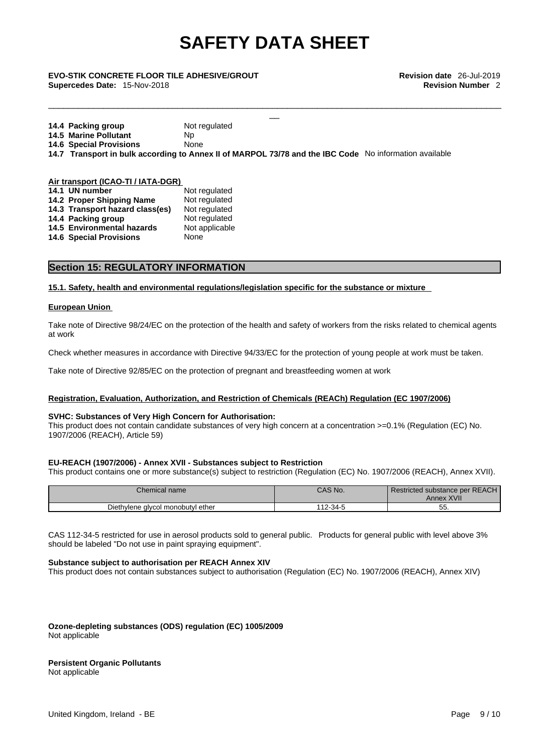\_\_\_\_\_\_\_\_\_\_\_\_\_\_\_\_\_\_\_\_\_\_\_\_\_\_\_\_\_\_\_\_\_\_\_\_\_\_\_\_\_\_\_\_\_\_\_\_\_\_\_\_\_\_\_\_\_\_\_\_\_\_\_\_\_\_\_\_\_\_\_\_\_\_\_\_\_\_\_\_\_\_\_\_\_\_\_\_\_\_\_

## \_\_ **EVO-STIK CONCRETE FLOOR TILE ADHESIVE/GROUT Revision date** 26-Jul-2019 **Supercedes Date:** 15-Nov-2018 **Revision Number** 2

| 14.4 Packing group             | Not regulated                                                                                          |
|--------------------------------|--------------------------------------------------------------------------------------------------------|
| <b>14.5 Marine Pollutant</b>   | Np.                                                                                                    |
| <b>14.6 Special Provisions</b> | None                                                                                                   |
|                                | 14.7 Transport in bulk according to Annex II of MARPOL 73/78 and the IBC Code No information available |

| Air transport (ICAO-TI / IATA-DGR) |                                 |                |  |
|------------------------------------|---------------------------------|----------------|--|
|                                    | 14.1 UN number                  | Not regulated  |  |
|                                    | 14.2 Proper Shipping Name       | Not regulated  |  |
|                                    | 14.3 Transport hazard class(es) | Not regulated  |  |
|                                    | 14.4 Packing group              | Not regulated  |  |
|                                    | 14.5 Environmental hazards      | Not applicable |  |
|                                    | <b>14.6 Special Provisions</b>  | None           |  |
|                                    |                                 |                |  |

### **Section 15: REGULATORY INFORMATION**

### **15.1. Safety, health and environmental regulations/legislation specific for the substance or mixture**

### **European Union**

Take note of Directive 98/24/EC on the protection of the health and safety of workers from the risks related to chemical agents at work

Check whether measures in accordance with Directive 94/33/EC for the protection of young people at work must be taken.

Take note of Directive 92/85/EC on the protection of pregnant and breastfeeding women at work

### **Registration, Evaluation, Authorization, and Restriction of Chemicals (REACh) Regulation (EC 1907/2006)**

### **SVHC: Substances of Very High Concern for Authorisation:**

This product does not contain candidate substances of very high concern at a concentration >=0.1% (Regulation (EC) No. 1907/2006 (REACH), Article 59)

### **EU-REACH (1907/2006) - Annex XVII - Substances subject to Restriction**

This product contains one or more substance(s) subject to restriction (Regulation (EC) No. 1907/2006 (REACH), Annex XVII).

| Chemical name                     | CAS No.      | Restricted substance per REACH<br>XVII<br>Annex |
|-----------------------------------|--------------|-------------------------------------------------|
| Diethylene glycol monobutyl ether | $112 - 34 -$ | --<br>5<br>ູບປ                                  |

CAS 112-34-5 restricted for use in aerosol products sold to general public. Products for general public with level above 3% should be labeled "Do not use in paint spraying equipment".

### **Substance subject to authorisation per REACH Annex XIV**

This product does not contain substances subject to authorisation (Regulation (EC) No. 1907/2006 (REACH), Annex XIV)

**Ozone-depleting substances (ODS) regulation (EC) 1005/2009** Not applicable

#### **Persistent Organic Pollutants** Not applicable